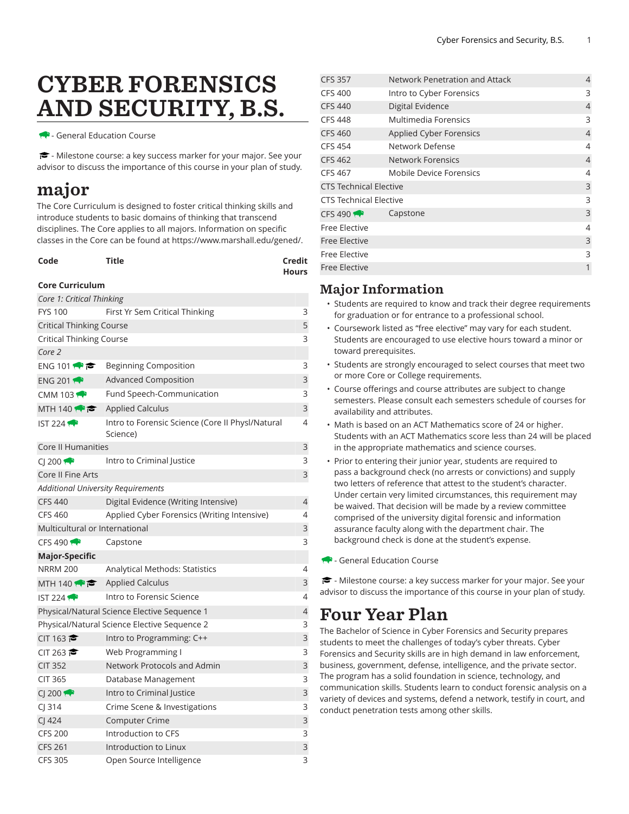# CYBER FORENSICS AND SECURITY, B.S.

- General Education Course

- Milestone course: a key success marker for your major. See your advisor to discuss the importance of this course in your plan of study.

### major

The Core Curriculum is designed to foster critical thinking skills and introduce students to basic domains of thinking that transcend disciplines. The Core applies to all majors. Information on specific classes in the Core can be found at [https://www.marshall.edu/gened/.](https://www.marshall.edu/gened/)

| Code | Title | Credit       |
|------|-------|--------------|
|      |       | <b>Hours</b> |

#### **Core Curriculum**

| Core 1: Critical Thinking                 |                                                              |                |
|-------------------------------------------|--------------------------------------------------------------|----------------|
| <b>FYS 100</b>                            | First Yr Sem Critical Thinking                               |                |
| <b>Critical Thinking Course</b>           |                                                              |                |
| Critical Thinking Course                  |                                                              |                |
| Core 2                                    |                                                              |                |
| ENG 101                                   | Beginning Composition                                        | 3              |
| ENG 201                                   | <b>Advanced Composition</b>                                  | 3              |
| CMM 103 $\bigoplus$                       | Fund Speech-Communication                                    | 3              |
| MTH 140                                   | <b>Applied Calculus</b>                                      | 3              |
| IST 224                                   | Intro to Forensic Science (Core II Physl/Natural<br>Science) | 4              |
| Core II Humanities                        |                                                              | 3              |
| CI 200                                    | Intro to Criminal Justice                                    | 3              |
| Core II Fine Arts                         |                                                              | 3              |
| <b>Additional University Requirements</b> |                                                              |                |
| <b>CFS 440</b>                            | Digital Evidence (Writing Intensive)                         | $\overline{4}$ |
| CFS 460                                   | Applied Cyber Forensics (Writing Intensive)                  | 4              |
| Multicultural or International            |                                                              | 3              |
| CFS 490 $\rightarrow$                     | Capstone                                                     | 3              |
| <b>Major-Specific</b>                     |                                                              |                |
| <b>NRRM 200</b>                           | Analytical Methods: Statistics                               | 4              |
| MTH 140 $\leftrightarrow$ $\approx$       | <b>Applied Calculus</b>                                      | 3              |
| IST224                                    | Intro to Forensic Science                                    | 4              |
|                                           | Physical/Natural Science Elective Sequence 1                 | 4              |
|                                           | Physical/Natural Science Elective Sequence 2                 | 3              |
| CIT 163 $\approx$                         | Intro to Programming: C++                                    | 3              |
| CIT 263                                   | Web Programming I                                            | 3              |
| <b>CIT 352</b>                            | Network Protocols and Admin                                  | 3              |
| <b>CIT 365</b>                            | Database Management                                          | 3              |
| CI 200                                    | Intro to Criminal Justice                                    | 3              |
| $CI$ 314                                  | Crime Scene & Investigations                                 | 3              |
| $CJ$ 424                                  | Computer Crime                                               | 3              |
| <b>CFS 200</b>                            | Introduction to CFS                                          | 3              |
| <b>CFS 261</b>                            | Introduction to Linux                                        | 3              |
| <b>CFS 305</b>                            | Open Source Intelligence                                     | 3              |

| <b>CFS 357</b>                | Network Penetration and Attack | 4              |
|-------------------------------|--------------------------------|----------------|
| <b>CFS 400</b>                | Intro to Cyber Forensics       | 3              |
| <b>CFS 440</b>                | Digital Evidence               | $\overline{4}$ |
| <b>CFS 448</b>                | Multimedia Forensics           | 3              |
| <b>CFS 460</b>                | <b>Applied Cyber Forensics</b> | $\overline{4}$ |
| <b>CFS 454</b>                | Network Defense                | 4              |
| <b>CFS 462</b>                | <b>Network Forensics</b>       | $\overline{4}$ |
| CFS 467                       | Mobile Device Forensics        | 4              |
| <b>CTS Technical Elective</b> |                                |                |
| <b>CTS Technical Elective</b> |                                |                |
| CFS 490                       | Capstone                       | 3              |
| <b>Free Elective</b>          |                                | 4              |
| <b>Free Elective</b>          |                                | 3              |
| Free Elective                 |                                | 3              |
| <b>Free Elective</b>          |                                | 1              |
|                               |                                |                |

### Major Information

- Students are required to know and track their degree requirements for graduation or for entrance to a professional school.
- Coursework listed as "free elective" may vary for each student. Students are encouraged to use elective hours toward a minor or toward prerequisites.
- Students are strongly encouraged to select courses that meet two or more Core or College requirements.
- Course offerings and course attributes are subject to change semesters. Please consult each semesters schedule of courses for availability and attributes.
- Math is based on an ACT Mathematics score of 24 or higher. Students with an ACT Mathematics score less than 24 will be placed in the appropriate mathematics and science courses.
- Prior to entering their junior year, students are required to pass a background check (no arrests or convictions) and supply two letters of reference that attest to the student's character. Under certain very limited circumstances, this requirement may be waived. That decision will be made by a review committee comprised of the university digital forensic and information assurance faculty along with the department chair. The background check is done at the student's expense.

- General Education Course

 $\blacktriangleright$  - Milestone course: a key success marker for your major. See your advisor to discuss the importance of this course in your plan of study.

## Four Year Plan

The Bachelor of Science in Cyber Forensics and Security prepares students to meet the challenges of today's cyber threats. Cyber Forensics and Security skills are in high demand in law enforcement, business, government, defense, intelligence, and the private sector. The program has a solid foundation in science, technology, and communication skills. Students learn to conduct forensic analysis on a variety of devices and systems, defend a network, testify in court, and conduct penetration tests among other skills.